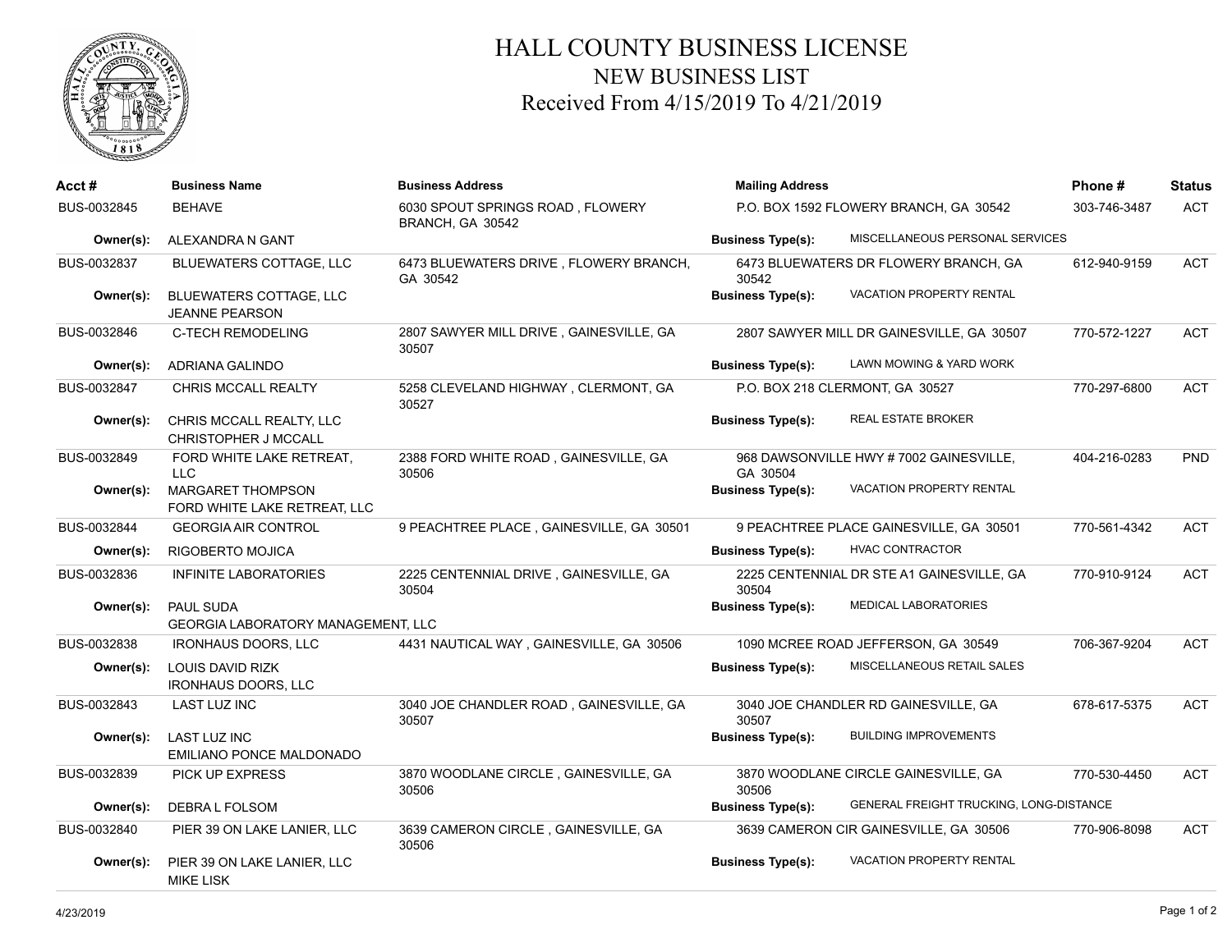

## HALL COUNTY BUSINESS LICENSE NEW BUSINESS LIST Received From 4/15/2019 To 4/21/2019

| Acct#       | <b>Business Name</b>                                          | <b>Business Address</b>                              | <b>Mailing Address</b>                 | Phone #                                   | <b>Status</b> |            |
|-------------|---------------------------------------------------------------|------------------------------------------------------|----------------------------------------|-------------------------------------------|---------------|------------|
| BUS-0032845 | <b>BEHAVE</b>                                                 | 6030 SPOUT SPRINGS ROAD, FLOWERY<br>BRANCH, GA 30542 | P.O. BOX 1592 FLOWERY BRANCH, GA 30542 |                                           | 303-746-3487  | <b>ACT</b> |
| Owner(s):   | ALEXANDRA N GANT                                              |                                                      | <b>Business Type(s):</b>               | MISCELLANEOUS PERSONAL SERVICES           |               |            |
| BUS-0032837 | <b>BLUEWATERS COTTAGE, LLC</b>                                | 6473 BLUEWATERS DRIVE, FLOWERY BRANCH,<br>GA 30542   | 30542                                  | 6473 BLUEWATERS DR FLOWERY BRANCH, GA     | 612-940-9159  | <b>ACT</b> |
| Owner(s):   | BLUEWATERS COTTAGE, LLC<br><b>JEANNE PEARSON</b>              |                                                      | <b>Business Type(s):</b>               | <b>VACATION PROPERTY RENTAL</b>           |               |            |
| BUS-0032846 | <b>C-TECH REMODELING</b>                                      | 2807 SAWYER MILL DRIVE, GAINESVILLE, GA<br>30507     |                                        | 2807 SAWYER MILL DR GAINESVILLE, GA 30507 | 770-572-1227  | <b>ACT</b> |
| Owner(s):   | ADRIANA GALINDO                                               |                                                      | <b>Business Type(s):</b>               | LAWN MOWING & YARD WORK                   |               |            |
| BUS-0032847 | <b>CHRIS MCCALL REALTY</b>                                    | 5258 CLEVELAND HIGHWAY, CLERMONT, GA<br>30527        |                                        | P.O. BOX 218 CLERMONT, GA 30527           | 770-297-6800  | <b>ACT</b> |
| Owner(s):   | CHRIS MCCALL REALTY, LLC<br>CHRISTOPHER J MCCALL              |                                                      | <b>Business Type(s):</b>               | <b>REAL ESTATE BROKER</b>                 |               |            |
| BUS-0032849 | FORD WHITE LAKE RETREAT,<br><b>LLC</b>                        | 2388 FORD WHITE ROAD, GAINESVILLE, GA<br>30506       | GA 30504                               | 968 DAWSONVILLE HWY #7002 GAINESVILLE,    | 404-216-0283  | <b>PND</b> |
| Owner(s):   | <b>MARGARET THOMPSON</b><br>FORD WHITE LAKE RETREAT, LLC      |                                                      | <b>Business Type(s):</b>               | <b>VACATION PROPERTY RENTAL</b>           |               |            |
| BUS-0032844 | <b>GEORGIA AIR CONTROL</b>                                    | 9 PEACHTREE PLACE, GAINESVILLE, GA 30501             |                                        | 9 PEACHTREE PLACE GAINESVILLE, GA 30501   | 770-561-4342  | <b>ACT</b> |
| Owner(s):   | <b>RIGOBERTO MOJICA</b>                                       |                                                      | <b>Business Type(s):</b>               | <b>HVAC CONTRACTOR</b>                    |               |            |
| BUS-0032836 | <b>INFINITE LABORATORIES</b>                                  | 2225 CENTENNIAL DRIVE, GAINESVILLE, GA<br>30504      | 30504                                  | 2225 CENTENNIAL DR STE A1 GAINESVILLE, GA | 770-910-9124  | <b>ACT</b> |
| Owner(s):   | <b>PAUL SUDA</b><br><b>GEORGIA LABORATORY MANAGEMENT, LLC</b> |                                                      | <b>Business Type(s):</b>               | MEDICAL LABORATORIES                      |               |            |
| BUS-0032838 | <b>IRONHAUS DOORS, LLC</b>                                    | 4431 NAUTICAL WAY, GAINESVILLE, GA 30506             |                                        | 1090 MCREE ROAD JEFFERSON, GA 30549       | 706-367-9204  | <b>ACT</b> |
| Owner(s):   | LOUIS DAVID RIZK<br><b>IRONHAUS DOORS, LLC</b>                |                                                      | <b>Business Type(s):</b>               | MISCELLANEOUS RETAIL SALES                |               |            |
| BUS-0032843 | <b>LAST LUZ INC</b>                                           | 3040 JOE CHANDLER ROAD, GAINESVILLE, GA<br>30507     | 30507                                  | 3040 JOE CHANDLER RD GAINESVILLE, GA      | 678-617-5375  | <b>ACT</b> |
| Owner(s):   | <b>LAST LUZ INC</b><br>EMILIANO PONCE MALDONADO               |                                                      | <b>Business Type(s):</b>               | <b>BUILDING IMPROVEMENTS</b>              |               |            |
| BUS-0032839 | PICK UP EXPRESS                                               | 3870 WOODLANE CIRCLE, GAINESVILLE, GA<br>30506       | 30506                                  | 3870 WOODLANE CIRCLE GAINESVILLE, GA      | 770-530-4450  | <b>ACT</b> |
| Owner(s):   | DEBRA L FOLSOM                                                |                                                      | <b>Business Type(s):</b>               | GENERAL FREIGHT TRUCKING, LONG-DISTANCE   |               |            |
| BUS-0032840 | PIER 39 ON LAKE LANIER, LLC                                   | 3639 CAMERON CIRCLE, GAINESVILLE, GA<br>30506        |                                        | 3639 CAMERON CIR GAINESVILLE, GA 30506    | 770-906-8098  | <b>ACT</b> |
| Owner(s):   | PIER 39 ON LAKE LANIER, LLC<br><b>MIKE LISK</b>               |                                                      | <b>Business Type(s):</b>               | <b>VACATION PROPERTY RENTAL</b>           |               |            |